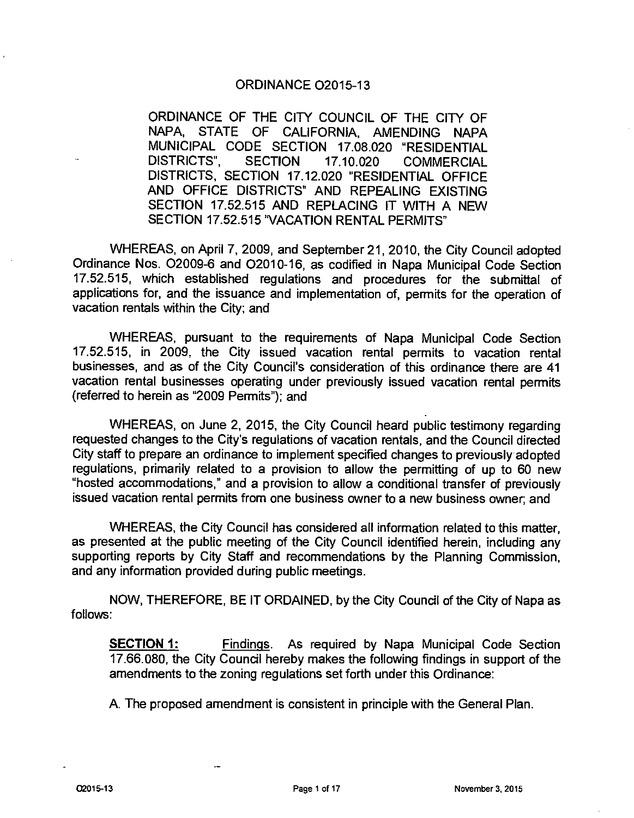## ORDINANCE 02015-13

ORDINANCE OF THE CITY COUNCIL OF THE CITY OF NAPA, STATE OF CALIFORNIA, AMENDING NAPA MUNICIPAL CODE SECTION 17.08.020 "RESIDENTIAL<br>DISTRICTS", SECTION 17.10.020 COMMERCIAL SECTION 17.10.020 COMMERCIAL DISTRICTS, SECTION 17.12.020 "RESIDENTIAL OFFICE AND OFFICE DISTRICTS" AND REPEALING EXISTING SECTION 17.52.515 AND REPLACING IT WITH A NEW SECTION 17.52.515 "VACATION RENTAL PERMITS"

WHEREAS, on April 7, 2009, and September 21, 2010, the City Council adopted Ordinance Nos. 02009-6 and 02010-16, as codified in Napa Municipal Code Section 17.52.515, which established regulations and procedures for the submittal of applications for, and the issuance and implementation of, permits for the operation of vacation rentals within the City; and

WHEREAS, pursuant to the requirements of Napa Municipal Code Section 17.52.515, in 2009, the City issued vacation rental permits to vacation rental businesses, and as of the City Council's consideration of this ordinance there are 41 vacation rental businesses operating under previously issued vacation rental permits (referred to herein as "2009 Permits"); and

WHEREAS, on June 2, 2015, the City Council heard public testimony regarding requested changes to the City's regulations of vacation rentals, and the Council directed City staff to prepare an ordinance to implement specified changes to previously adopted regulations, primarily related to a provision to allow the permitting of up to 60 new "hosted accommodations," and a provision to allow a conditional transfer of previously issued vacation rental permits from one business owner to a new business owner; and

WHEREAS, the City Council has considered all information related to this matter, as presented at the public meeting of the City Council identified herein, including any supporting reports by City Staff and recommendations by the Planning Commission, and any information provided during public meetings.

NOW, THEREFORE, BE IT ORDAINED, by the City Council of the City of Napa as follows:

**SECTION 1:** Findings. As required by Napa Municipal Code Section 17.66.080, the City Council hereby makes the following findings in support of the amendments to the zoning regulations set forth under this Ordinance:

A. The proposed amendment is consistent in principle with the General Plan.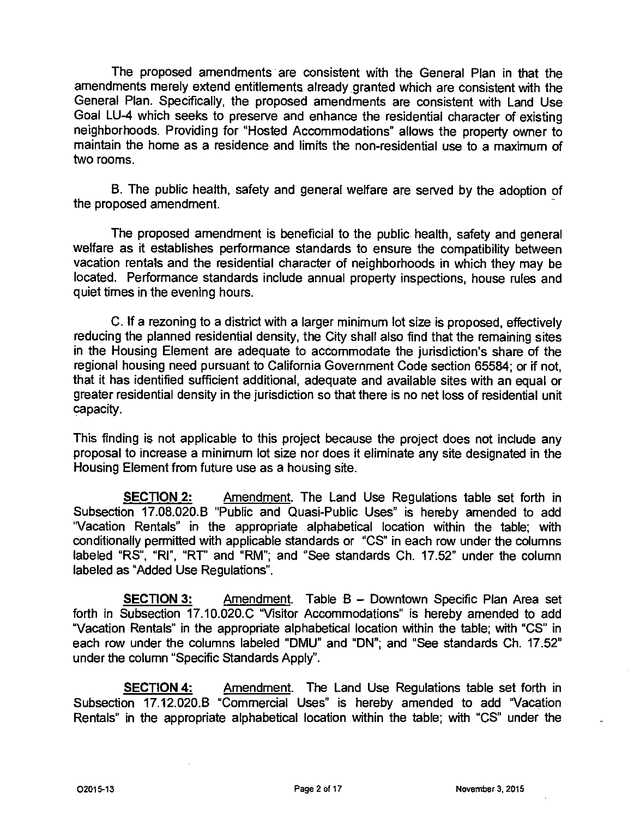The proposed amendments are consistent with the General Plan in that the amendments merely extend entitlements already granted which are consistent with the General Plan. Specifically, the proposed amendments are consistent with Land Use Goal LU-4 which seeks to preserve and enhance the residential character of existing neighborhoods. Providing for "Hosted Accommodations" allows the property owner to maintain the home as a residence and limits the non-residential use to a maximum of two rooms.

B. The public health, safety and general welfare are served by the adoption of the proposed amendment.

The proposed amendment is beneficial to the public health, safety and general welfare as it establishes performance standards to ensure the compatibility between vacation rentals and the residential character of neighborhoods in which they may be located. Performance standards include annual property inspections, house rules and quiet times in the evening hours.

C. If a rezoning to a district with a larger minimum lot size is proposed, effectively reducing the planned residential density, the City shall also find that the remaining sites in the Housing Element are adequate to accommodate the jurisdiction's share of the regional housing need pursuant to California Government Code section 65584; or if not, that it has identified sufficient additional, adequate and available sites with an equal or greater residential density in the jurisdiction so that there is no net loss of residential unit capacity.

This finding is not applicable to this project because the project does not include any proposal to increase a minimum lot size nor does it eliminate any site designated in the Housing Element from future use as a housing site.

**SECTION 2:** Amendment. The Land Use Regulations table set forth in Subsection 17.08.020.B "Public and Quasi-Public Uses" is hereby amended to add "Vacation Rentals" in the appropriate alphabetical location within the table; with conditionally permitted with applicable standards or "CS" in each row under the columns labeled "RS", "RI", "RT" and "RM"; and "See standards Ch. 17.52" under the column labeled as "Added Use Regulations".

**SECTION** 3: Amendment. Table B — Downtown Specific Plan Area set forth in Subsection 17.10.020.C "Visitor Accommodations" is hereby amended to add "Vacation Rentals" in the appropriate alphabetical location within the table; with "CS" in each row under the columns labeled "DMU" and "DN"; and "See standards Ch. 17.52" under the column "Specific Standards Apply".

**SECTION 4:** Amendment. The Land Use Regulations table set forth in Subsection 17.12.020.B "Commercial Uses" is hereby amended to add Vacation Rentals" in the appropriate alphabetical location within the table; with "CS" under the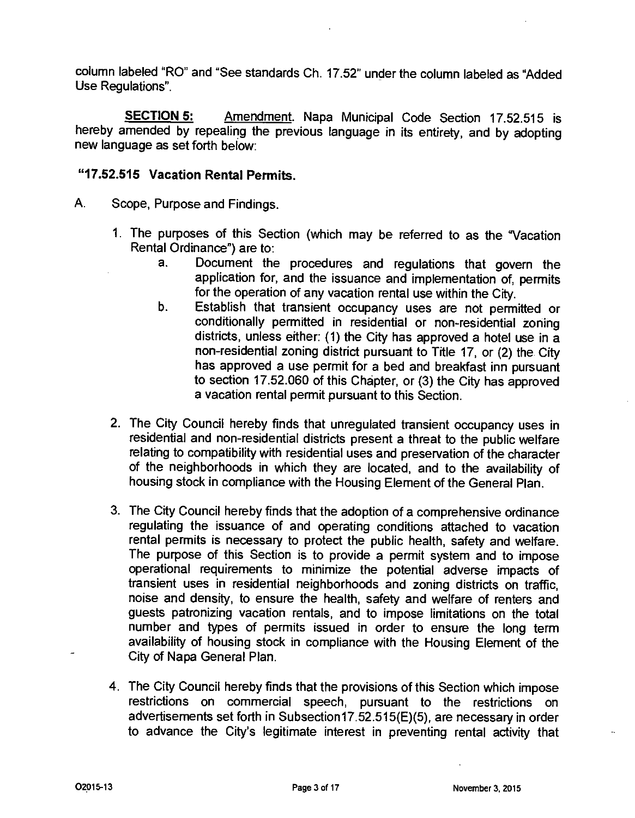column labeled "RO" and "See standards Ch. 17.52" under the column labeled as "Added Use Regulations".

**SECTION 5:** Amendment. Napa Municipal Code Section 17.52.515 is hereby amended by repealing the previous language in its entirety, and by adopting new language as set forth below:

## **"17.52.515 Vacation Rental Permits.**

- A. Scope, Purpose and Findings.
	- 1. The purposes of this Section (which may be referred to as the "Vacation Rental Ordinance") are to:
		- a. Document the procedures and regulations that govern the application for, and the issuance and implementation of, permits for the operation of any vacation rental use within the City.
		- b. Establish that transient occupancy uses are not permitted or conditionally permitted in residential or non-residential zoning districts, unless either: (1) the City has approved a hotel use in a non-residential zoning district pursuant to Title 17, or (2) the City has approved a use permit for a bed and breakfast inn pursuant to section 17.52.060 of this Chapter, or (3) the City has approved a vacation rental permit pursuant to this Section.
	- 2. The City Council hereby finds that unregulated transient occupancy uses in residential and non-residential districts present a threat to the public welfare relating to compatibility with residential uses and preservation of the character of the neighborhoods in which they are located, and to the availability of housing stock in compliance with the Housing Element of the General Plan.
	- 3. The City Council hereby finds that the adoption of a comprehensive ordinance regulating the issuance of and operating conditions attached to vacation rental permits is necessary to protect the public health, safety and welfare. The purpose of this Section is to provide a permit system and to impose operational requirements to minimize the potential adverse impacts of transient uses in residential neighborhoods and zoning districts on traffic, noise and density, to ensure the health, safety and welfare of renters and guests patronizing vacation rentals, and to impose limitations on the total number and types of permits issued in order to ensure the long term availability of housing stock in compliance with the Housing Element of the City of Napa General Plan.
	- 4. The City Council hereby finds that the provisions of this Section which impose restrictions on commercial speech, pursuant to the restrictions on advertisements set forth in Subsection17.52.515(E)(5), are necessary in order to advance the City's legitimate interest in preventing rental activity that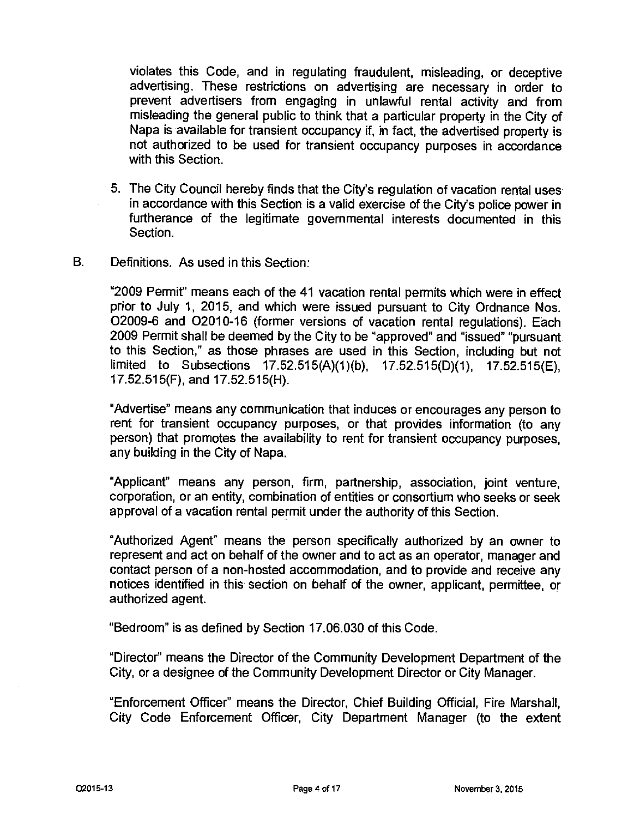violates this Code, and in regulating fraudulent, misleading, or deceptive advertising. These restrictions on advertising are necessary in order to prevent advertisers from engaging in unlawful rental activity and from misleading the general public to think that a particular property in the City of Napa is available for transient occupancy if, in fact, the advertised property is not authorized to be used for transient occupancy purposes in accordance with this Section.

- 5. The City Council hereby finds that the City's regulation of vacation rental uses in accordance with this Section is a valid exercise of the City's police power in furtherance of the legitimate governmental interests documented in this Section.
- B. Definitions. As used in this Section:

"2009 Permit" means each of the 41 vacation rental permits which were in effect prior to July 1, 2015, and which were issued pursuant to City Ordnance Nos. 02009-6 and 02010-16 (former versions of vacation rental regulations). Each 2009 Permit shall be deemed by the City to be 'approved" and "issued" "pursuant to this Section," as those phrases are used in this Section, including but not limited to Subsections 17.52.515(A)(1)(b), 17.52.515(D)(1), 17.52.515(E), 17.52.515(F), and 17.52.515(H).

"Advertise" means any communication that induces or encourages any person to rent for transient occupancy purposes, or that provides information (to any person) that promotes the availability to rent for transient occupancy purposes, any building in the City of Napa.

"Applicant" means any person, firm, partnership, association, joint venture, corporation, or an entity, combination of entities or consortium who seeks or seek approval of a vacation rental permit under the authority of this Section.

"Authorized Agent" means the person specifically authorized by an owner to represent and act on behalf of the owner and to act as an operator, manager and contact person of a non-hosted accommodation, and to provide and receive any notices identified in this section on behalf of the owner, applicant, permittee, or authorized agent.

"Bedroom" is as defined by Section 17.06.030 of this Code.

"Director" means the Director of the Community Development Department of the City, or a designee of the Community Development Director or City Manager.

"Enforcement Officer" means the Director, Chief Building Official, Fire Marshall, City Code Enforcement Officer, City Department Manager (to the extent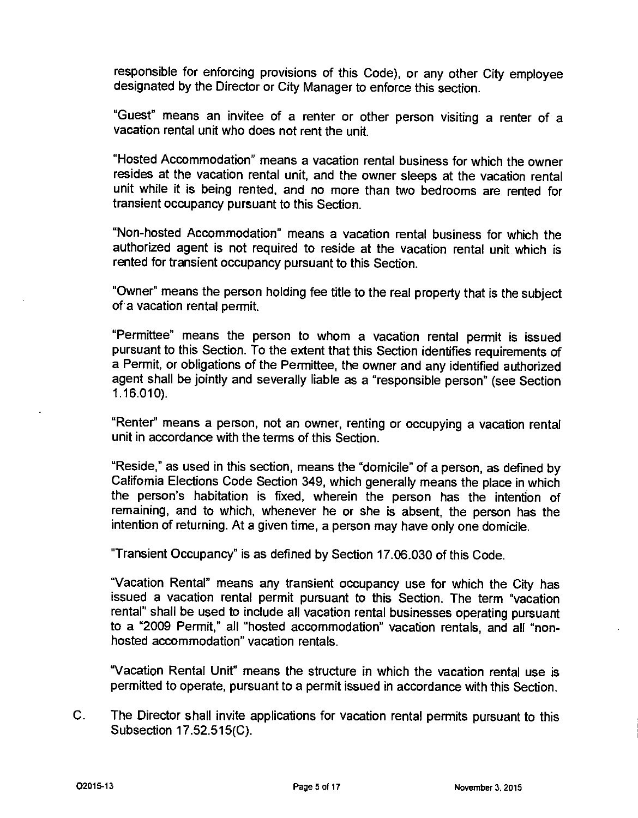responsible for enforcing provisions of this Code), or any other City employee designated by the Director or City Manager to enforce this section.

"Guest" means an invitee of a renter or other person visiting a renter of a vacation rental unit who does not rent the unit.

"Hosted Accommodation" means a vacation rental business for which the owner resides at the vacation rental unit, and the owner sleeps at the vacation rental unit while it is being rented, and no more than two bedrooms are rented for transient occupancy pursuant to this Section.

"Non-hosted Accommodation" means a vacation rental business for which the authorized agent is not required to reside at the vacation rental unit which is rented for transient occupancy pursuant to this Section.

"Owner" means the person holding fee title to the real property that is the subject of a vacation rental permit.

"Permittee" means the person to whom a vacation rental permit is issued pursuant to this Section. To the extent that this Section identifies requirements of a Permit, or obligations of the Permittee, the owner and any identified authorized agent shall be jointly and severally liable as a "responsible person" (see Section 1.16.010).

"Renter' means a person, not an owner, renting or occupying a vacation rental unit in accordance with the terms of this Section.

"Reside," as used in this section, means the "domicile" of a person, as defined by California Elections Code Section 349, which generally means the place in which the person's habitation is fixed, wherein the person has the intention of remaining, and to which, whenever he or she is absent, the person has the intention of returning. At a given time, a person may have only one domicile.

"Transient Occupancy" is as defined by Section 17.06.030 of this Code.

"Vacation Rental" means any transient occupancy use for which the City has issued a vacation rental permit pursuant to this Section. The term "vacation rental" shall be used to include all vacation rental businesses operating pursuant to a "2009 Permit," all "hosted accommodation" vacation rentals, and all "nonhosted accommodation" vacation rentals.

"Vacation Rental Unit" means the structure in which the vacation rental use is permitted to operate, pursuant to a permit issued in accordance with this Section.

C. The Director shall invite applications for vacation rental permits pursuant to this Subsection 17.52.515(C).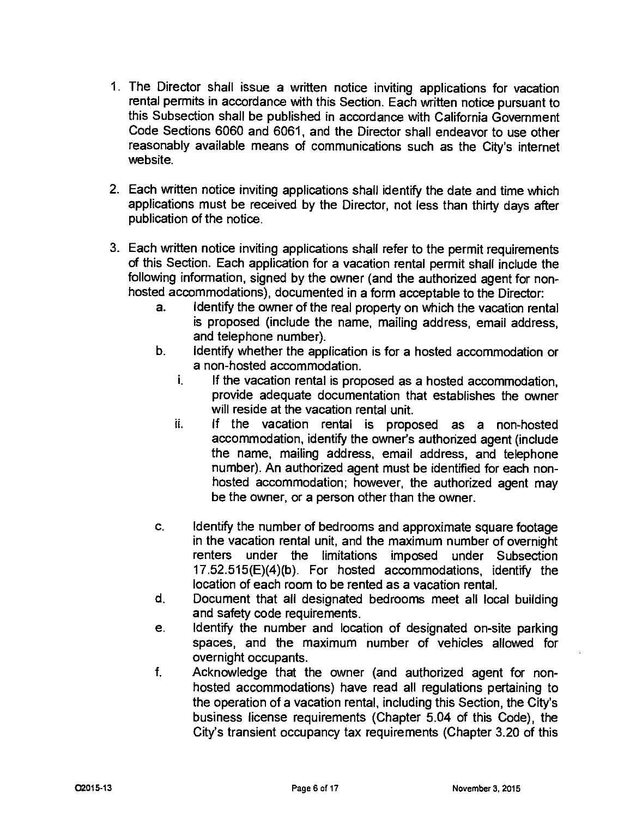- 1. The Director shall issue a written notice inviting applications for vacation rental permits in accordance with this Section. Each written notice pursuant to this Subsection shall be published in accordance with California Government Code Sections 6060 and 6061, and the Director shall endeavor to use other reasonably available means of communications such as the City's internet website.
- 2. Each written notice inviting applications shall identify the date and time which applications must be received by the Director, not less than thirty days after publication of the notice.
- 3. Each written notice inviting applications shall refer to the permit requirements of this Section. Each application for a vacation rental permit shall include the following information, signed by the owner (and the authorized agent for nonhosted accommodations), documented in a form acceptable to the Director:
	- a. Identify the owner of the real property on which the vacation rental is proposed (include the name, mailing address, email address, and telephone number).
	- b. Identify whether the application is for a hosted accommodation or a non-hosted accommodation.
		- i. If the vacation rental is proposed as a hosted accommodation, provide adequate documentation that establishes the owner will reside at the vacation rental unit.
		- ii. If the vacation rental is proposed as a non-hosted accommodation, identify the owner's authorized agent (include the name, mailing address, email address, and telephone number). An authorized agent must be identified for each nonhosted accommodation; however, the authorized agent may be the owner, or a person other than the owner.
	- c. Identify the number of bedrooms and approximate square footage in the vacation rental unit, and the maximum number of overnight renters under the limitations imposed under Subsection 17.52.515(E)(4)(b). For hosted accommodations, identify the location of each room to be rented as a vacation rental.
	- d. Document that all designated bedrooms meet all local building and safety code requirements.
	- e. Identify the number and location of designated on-site parking spaces, and the maximum number of vehicles allowed for overnight occupants.
	- f. Acknowledge that the owner (and authorized agent for nonhosted accommodations) have read all regulations pertaining to the operation of a vacation rental, including this Section, the City's business license requirements (Chapter 5.04 of this Code), the City's transient occupancy tax requirements (Chapter 3.20 of this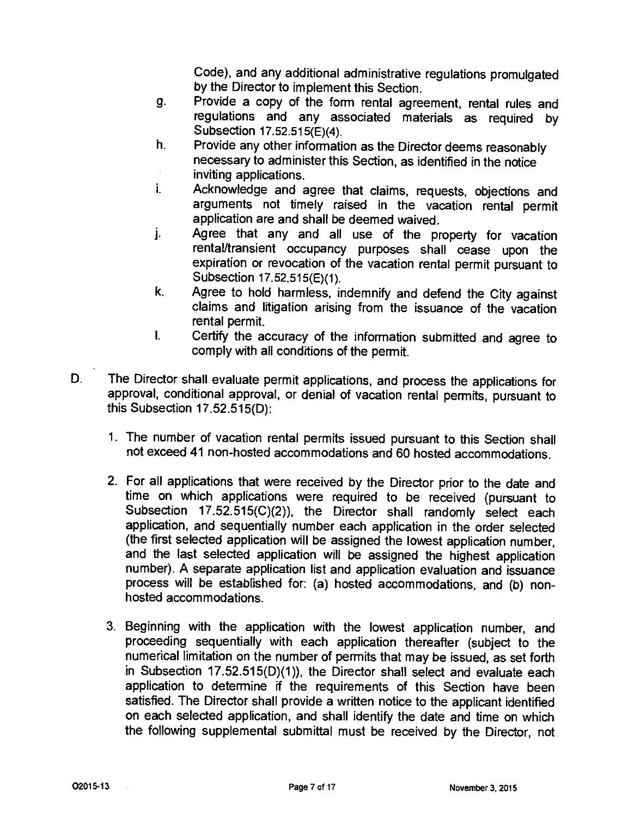Code), and any additional administrative regulations promulgated by the Director to implement this Section.

- 9. Provide a copy of the form rental agreement, rental rules and regulations and any associated materials as required by Subsection 17.52.515(E)(4).
- h. Provide any other information as the Director deems reasonably necessary to administer this Section, as identified in the notice inviting applications.
- i. Acknowledge and agree that claims, requests, objections and arguments not timely raised in the vacation rental permit application are and shall be deemed waived.
- Agree that any and all use of the property for vacation j. rental/transient occupancy purposes shall cease upon the expiration or revocation of the vacation rental permit pursuant to Subsection 17.52.515(E)(1).
- k. Agree to hold harmless, indemnify and defend the City against claims and litigation arising from the issuance of the vacation rental permit.
- Certify the accuracy of the information submitted and agree to L comply with all conditions of the permit.
- D. The Director shall evaluate permit applications, and process the applications for approval, conditional approval, or denial of vacation rental permits, pursuant to this Subsection 17.52.515(D):
	- 1. The number of vacation rental permits issued pursuant to this Section shall not exceed 41 non-hosted accommodations and 60 hosted accommodations.
	- 2. For all applications that were received by the Director prior to the date and time on which applications were required to be received (pursuant to Subsection 17.52.515(C)(2)), the Director shall randomly select each application, and sequentially number each application in the order selected (the first selected application will be assigned the lowest application number, and the last selected application will be assigned the highest application number). A separate application list and application evaluation and issuance process will be established for: (a) hosted accommodations, and (b) nonhosted accommodations.
	- 3. Beginning with the application with the lowest application number, and proceeding sequentially with each application thereafter (subject to the numerical limitation on the number of permits that may be issued, as set forth in Subsection 17.52.515(D)(1)), the Director shall select and evaluate each application to determine if the requirements of this Section have been satisfied. The Director shall provide a written notice to the applicant identified on each selected application, and shall identify the date and time on which the following supplemental submittal must be received by the Director, not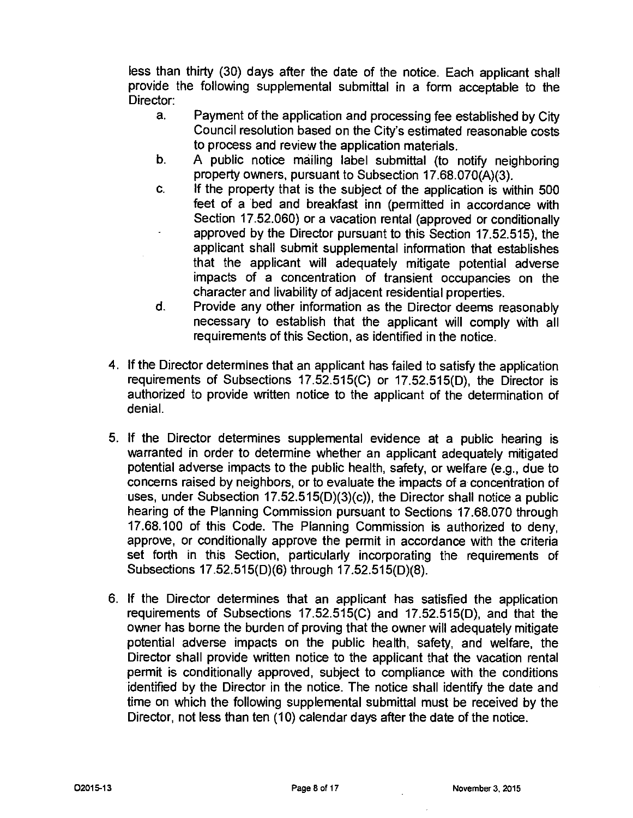less than thirty (30) days after the date of the notice. Each applicant shall provide the following supplemental submittal in a form acceptable to the Director:

- a. Payment of the application and processing fee established by City Council resolution based on the City's estimated reasonable costs to process and review the application materials.
- b. A public notice mailing label submittal (to notify neighboring property owners, pursuant to Subsection 17.68.070(A)(3).
- c. If the property that is the subject of the application is within 500 feet of a bed and breakfast inn (permitted in accordance with Section 17.52.060) or a vacation rental (approved or conditionally approved by the Director pursuant to this Section 17.52.515), the applicant shall submit supplemental information that establishes that the applicant will adequately mitigate potential adverse impacts of a concentration of transient occupancies on the character and livability of adjacent residential properties.
- d. Provide any other information as the Director deems reasonably necessary to establish that the applicant will comply with all requirements of this Section, as identified in the notice.
- 4. If the Director determines that an applicant has failed to satisfy the application requirements of Subsections 17.52.515(C) or 17.52.515(D), the Director is authorized to provide written notice to the applicant of the determination of denial.
- 5. If the Director determines supplemental evidence at a public hearing is warranted in order to determine whether an applicant adequately mitigated potential adverse impacts to the public health, safety, or welfare (e.g., due to concerns raised by neighbors, or to evaluate the impacts of a concentration of uses, under Subsection  $17.52.515(D)(3)(c)$ , the Director shall notice a public hearing of the Planning Commission pursuant to Sections 17.68.070 through 17.68.100 of this Code. The Planning Commission is authorized to deny, approve, or conditionally approve the permit in accordance with the criteria set forth in this Section, particularly incorporating the requirements of Subsections 17.52.515(D)(6) through 17.52.515(D)(8).
- 6. If the Director determines that an applicant has satisfied the application requirements of Subsections 17.52.515(C) and 17.52.515(D), and that the owner has borne the burden of proving that the owner will adequately mitigate potential adverse impacts on the public health, safety, and welfare, the Director shall provide written notice to the applicant that the vacation rental permit is conditionally approved, subject to compliance with the conditions identified by the Director in the notice. The notice shall identify the date and time on which the following supplemental submittal must be received by the Director, not less than ten (10) calendar days after the date of the notice.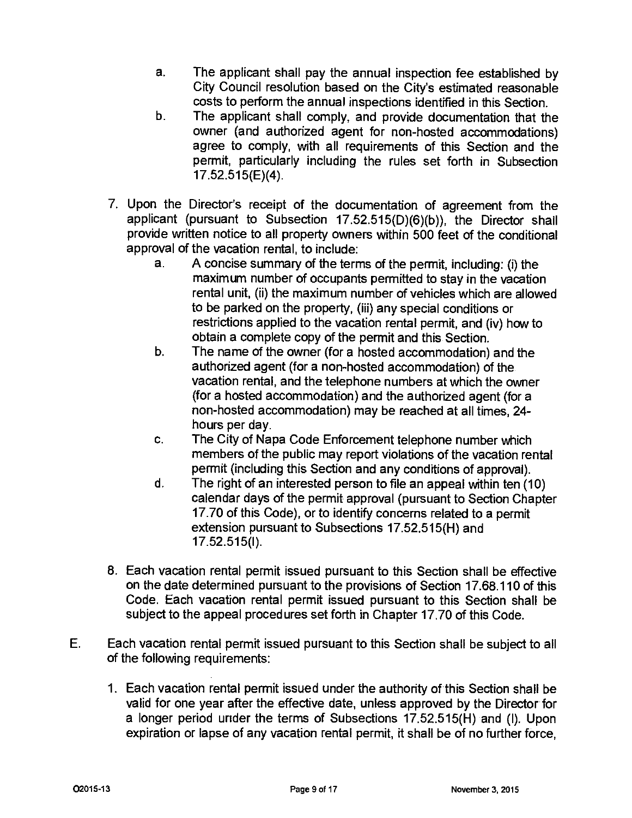- a. The applicant shall pay the annual inspection fee established by City Council resolution based on the City's estimated reasonable costs to perform the annual inspections identified in this Section.
- b. The applicant shall comply, and provide documentation that the owner (and authorized agent for non-hosted accommodations) agree to comply, with all requirements of this Section and the permit, particularly including the rules set forth in Subsection 17.52.515(E)(4).
- 7. Upon the Director's receipt of the documentation of agreement from the applicant (pursuant to Subsection 17.52.515(D)(6)(b)), the Director shall provide written notice to all property owners within 500 feet of the conditional approval of the vacation rental, to include:
	- a. A concise summary of the terms of the permit, including: (i) the maximum number of occupants permitted to stay in the vacation rental unit, (ii) the maximum number of vehicles which are allowed to be parked on the property, (iii) any special conditions or restrictions applied to the vacation rental permit, and (iv) how to obtain a complete copy of the permit and this Section.
	- b. The name of the owner (for a hosted accommodation) and the authorized agent (for a non-hosted accommodation) of the vacation rental, and the telephone numbers at which the owner (for a hosted accommodation) and the authorized agent (for a non-hosted accommodation) may be reached at all times, 24 hours per day.
	- c. The City of Napa Code Enforcement telephone number which members of the public may report violations of the vacation rental permit (including this Section and any conditions of approval).
	- d. The right of an interested person to file an appeal within ten (10) calendar days of the permit approval (pursuant to Section Chapter 17.70 of this Code), or to identify concerns related to a permit extension pursuant to Subsections 17.52.515(H) and 17.52.515(1).
- 8. Each vacation rental permit issued pursuant to this Section shall be effective on the date determined pursuant to the provisions of Section 17.68.110 of this Code. Each vacation rental permit issued pursuant to this Section shall be subject to the appeal procedures set forth in Chapter 17.70 of this Code.
- E. Each vacation rental permit issued pursuant to this Section shall be subject to all of the following requirements:
	- 1. Each vacation rental permit issued under the authority of this Section shall be valid for one year after the effective date, unless approved by the Director for a longer period under the terms of Subsections 17.52.515(H) and (I). Upon expiration or lapse of any vacation rental permit, it shall be of no further force,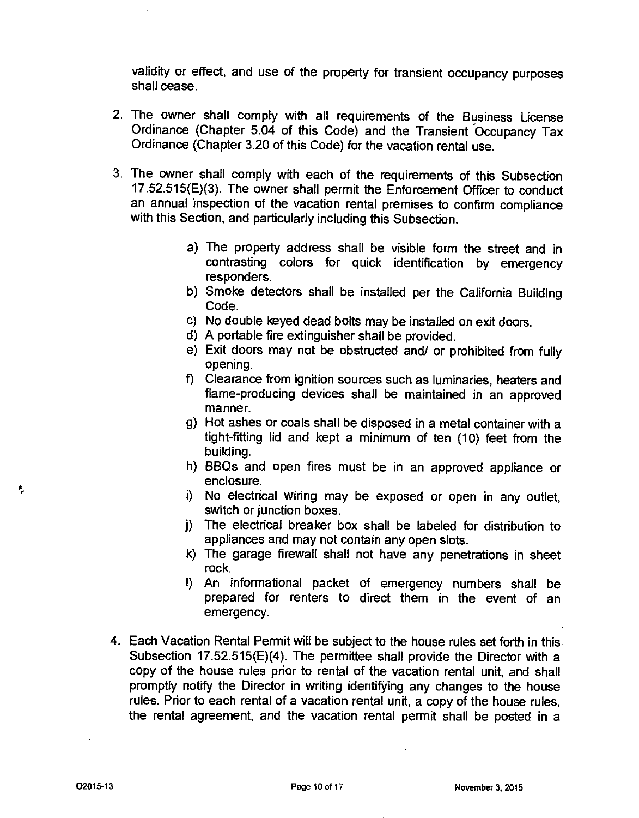validity or effect, and use of the property for transient occupancy purposes shall cease.

- 2. The owner shall comply with all requirements of the Business License Ordinance (Chapter 5.04 of this Code) and the Transient Occupancy Tax Ordinance (Chapter 3.20 of this Code) for the vacation rental use.
- 3. The owner shall comply with each of the requirements of this Subsection 17.52.515(E)(3). The owner shall permit the Enforcement Officer to conduct an annual inspection of the vacation rental premises to confirm compliance with this Section, and particularly including this Subsection.
	- a) The property address shall be visible form the street and in contrasting colors for quick identification by emergency responders.
	- b) Smoke detectors shall be installed per the California Building Code.
	- c) No double keyed dead bolts may be installed on exit doors.
	- d) A portable fire extinguisher shall be provided.
	- e) Exit doors may not be obstructed and/ or prohibited from fully opening.
	- f) Clearance from ignition sources such as luminaries, heaters and flame-producing devices shall be maintained in an approved manner.
	- g) Hot ashes or coals shall be disposed in a metal container with a tight-fitting lid and kept a minimum of ten (10) feet from the building.
	- h) BBQs and open fires must be in an approved appliance or enclosure.
	- i) No electrical wiring may be exposed or open in any outlet, switch or junction boxes.
	- j) The electrical breaker box shall be labeled for distribution to appliances and may not contain any open slots.
	- k) The garage firewall shall not have any penetrations in sheet rock.
	- I) An informational packet of emergency numbers shall be prepared for renters to direct them in the event of an emergency.
- 4. Each Vacation Rental Permit will be subject to the house rules set forth in this Subsection 17.52.515(E)(4). The permittee shall provide the Director with a copy of the house rules prior to rental of the vacation rental unit, and shall promptly notify the Director in writing identifying any changes to the house rules. Prior to each rental of a vacation rental unit, a copy of the house rules, the rental agreement, and the vacation rental permit shall be posted in a

Ą,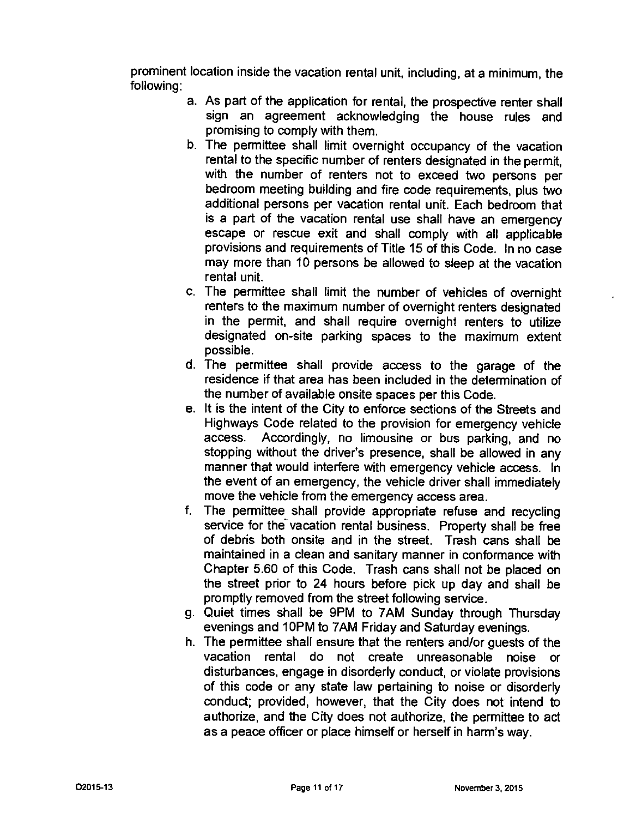prominent location inside the vacation rental unit, including, at a minimum, the following:

- a. As part of the application for rental, the prospective renter shall sign an agreement acknowledging the house rules and promising to comply with them.
- b. The permittee shall limit overnight occupancy of the vacation rental to the specific number of renters designated in the permit, with the number of renters not to exceed two persons per bedroom meeting building and fire code requirements, plus two additional persons per vacation rental unit. Each bedroom that is a part of the vacation rental use shall have an emergency escape or rescue exit and shall comply with all applicable provisions and requirements of Title 15 of this Code. In no case may more than 10 persons be allowed to sleep at the vacation rental unit.
- c. The permittee shall limit the number of vehicles of overnight renters to the maximum number of overnight renters designated in the permit, and shall require overnight renters to utilize designated on-site parking spaces to the maximum extent possible.
- d. The permittee shall provide access to the garage of the residence if that area has been included in the determination of the number of available onsite spaces per this Code.
- e. It is the intent of the City to enforce sections of the Streets and Highways Code related to the provision for emergency vehicle access. Accordingly, no limousine or bus parking, and no stopping without the driver's presence, shall be allowed in any manner that would interfere with emergency vehicle access. In the event of an emergency, the vehicle driver shall immediately move the vehicle from the emergency access area.
- f. The permittee shall provide appropriate refuse and recycling service for the vacation rental business. Property shall be free of debris both onsite and in the street. Trash cans shall be maintained in a clean and sanitary manner in conformance with Chapter 5.60 of this Code. Trash cans shall not be placed on the street prior to 24 hours before pick up day and shall be promptly removed from the street following service.
- 9. Quiet times shall be 9PM to 7AM Sunday through Thursday evenings and 10PM to 7AM Friday and Saturday evenings.
- h. The perrnittee shall ensure that the renters and/or guests of the vacation rental do not create unreasonable noise or disturbances, engage in disorderly conduct, or violate provisions of this code or any state law pertaining to noise or disorderly conduct; provided, however, that the City does not intend to authorize, and the City does not authorize, the permittee to act as a peace officer or place himself or herself in harm's way.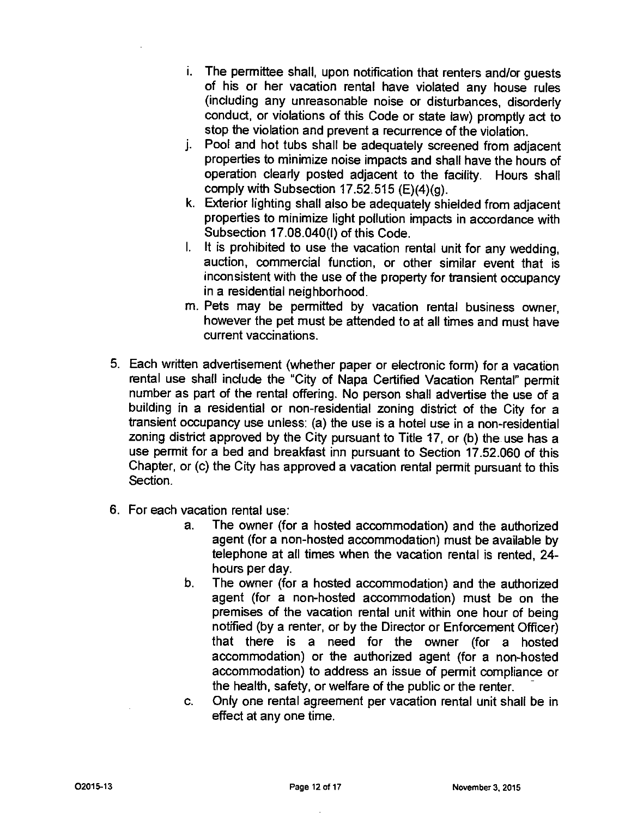- i. The permittee shall, upon notification that renters and/or guests of his or her vacation rental have violated any house rules (including any unreasonable noise or disturbances, disorderly conduct, or violations of this Code or state law) promptly act to stop the violation and prevent a recurrence of the violation.
- i. Pool and hot tubs shall be adequately screened from adjacent properties to minimize noise impacts and shall have the hours of operation clearly posted adjacent to the facility. Hours shall comply with Subsection  $17.52.515$  (E)(4)(g).
- k. Exterior lighting shall also be adequately shielded from adjacent properties to minimize light pollution impacts in accordance with Subsection 17.08.040(1) of this Code.
- I. It is prohibited to use the vacation rental unit for any wedding, auction, commercial function, or other similar event that is inconsistent with the use of the property for transient occupancy in a residential neighborhood.
- m. Pets may be permitted by vacation rental business owner, however the pet must be attended to at all times and must have current vaccinations.
- 5. Each written advertisement (whether paper or electronic form) for a vacation rental use shall include the "City of Napa Certified Vacation Rental" permit number as part of the rental offering. No person shall advertise the use of a building in a residential or non-residential zoning district of the City for a transient occupancy use unless: (a) the use is a hotel use in a non-residential zoning district approved by the City pursuant to Title 17, or (b) the use has a use permit for a bed and breakfast inn pursuant to Section 17.52.060 of this Chapter, or (c) the City has approved a vacation rental permit pursuant to this Section.
- 6. For each vacation rental use:
	- a. The owner (for a hosted accommodation) and the authorized agent (for a non-hosted accommodation) must be available by telephone at all times when the vacation rental is rented, 24 hours per day.
	- b. The owner (for a hosted accommodation) and the authorized agent (for a non-hosted accommodation) must be on the premises of the vacation rental unit within one hour of being notified (by a renter, or by the Director or Enforcement Officer) that there is a need for the owner (for a hosted accommodation) or the authorized agent (for a non-hosted accommodation) to address an issue of permit compliance or the health, safety, or welfare of the public or the renter.
	- c. Only one rental agreement per vacation rental unit shall be in effect at any one time.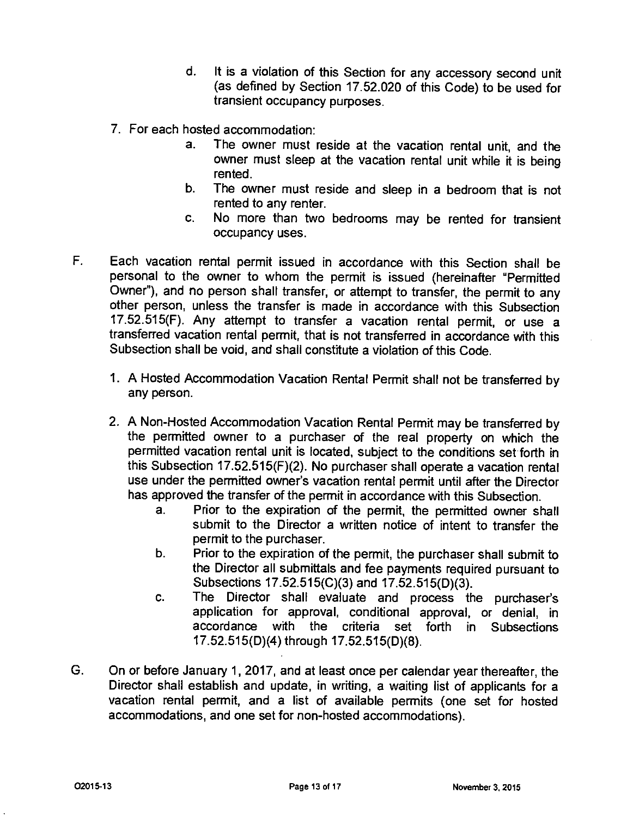- d. It is a violation of this Section for any accessory second unit (as defined by Section 17.52.020 of this Code) to be used for transient occupancy purposes.
- 7. For each hosted accommodation:
	- a. The owner must reside at the vacation rental unit, and the owner must sleep at the vacation rental unit while it is being rented.
	- b. The owner must reside and sleep in a bedroom that is not rented to any renter.
	- c. No more than two bedrooms may be rented for transient occupancy uses.
- F. Each vacation rental permit issued in accordance with this Section shall be personal to the owner to whom the permit is issued (hereinafter "Permitted Owner"), and no person shall transfer, or attempt to transfer, the permit to any other person, unless the transfer is made in accordance with this Subsection 17.52.515(F). Any attempt to transfer a vacation rental permit, or use a transferred vacation rental permit, that is not transferred in accordance with this Subsection shall be void, and shall constitute a violation of this Code.
	- 1. A Hosted Accommodation Vacation Rental Permit shall not be transferred by any person.
	- 2. A Non-Hosted Accommodation Vacation Rental Permit may be transferred by the permitted owner to a purchaser of the real property on which the permitted vacation rental unit is located, subject to the conditions set forth in this Subsection 17.52.515(F)(2). No purchaser shall operate a vacation rental use under the permitted owner's vacation rental permit until after the Director has approved the transfer of the permit in accordance with this Subsection.
		- a. Prior to the expiration of the permit, the permitted owner shall submit to the Director a written notice of intent to transfer the permit to the purchaser.
		- b. Prior to the expiration of the permit, the purchaser shall submit to the Director all submittals and fee payments required pursuant to Subsections 17.52.515(C)(3) and 17.52.515(D)(3).
		- c. The Director shall evaluate and process the purchaser's application for approval, conditional approval, or denial, in accordance with the criteria set forth in Subsections 17.52.515(D)(4) through 17.52.515(D)(8).
- G. On or before January 1, 2017, and at least once per calendar year thereafter, the Director shall establish and update, in writing, a waiting list of applicants for a vacation rental permit, and a list of available permits (one set for hosted accommodations, and one set for non-hosted accommodations).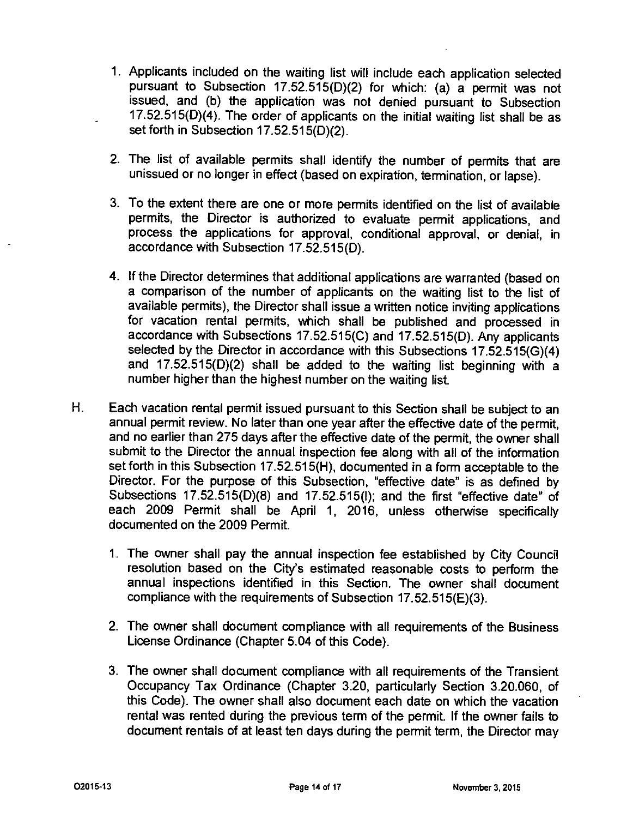- 1. Applicants included on the waiting list will include each application selected pursuant to Subsection 17.52.515(D)(2) for which: (a) a permit was not issued, and (b) the application was not denied pursuant to Subsection 17.52.515(D)(4). The order of applicants on the initial waiting list shall be as set forth in Subsection 17.52.515(D)(2).
- 2. The list of available permits shall identify the number of permits that are unissued or no longer in effect (based on expiration, termination, or lapse).
- 3. To the extent there are one or more permits identified on the list of available permits, the Director is authorized to evaluate permit applications, and process the applications for approval, conditional approval, or denial, in accordance with Subsection 17.52.515(D).
- 4. If the Director determines that additional applications are warranted (based on a comparison of the number of applicants on the waiting list to the list of available permits), the Director shall issue a written notice inviting applications for vacation rental permits, which shall be published and processed in accordance with Subsections 17.52.515(C) and 17.52.515(D). Any applicants selected by the Director in accordance with this Subsections 17.52.515(G)(4) and 17.52.515(D)(2) shall be added to the waiting list beginning with a number higher than the highest number on the waiting list.
- H. Each vacation rental permit issued pursuant to this Section shall be subject to an annual permit review. No later than one year after the effective date of the permit, and no earlier than 275 days after the effective date of the permit, the owner shall submit to the Director the annual inspection fee along with all of the information set forth in this Subsection 17.52.515(H), documented in a form acceptable to the Director. For the purpose of this Subsection, "effective date" is as defined by Subsections 17.52.515(D)(8) and 17.52.515(1); and the first "effective date" of each 2009 Permit shall be April 1, 2016, unless otherwise specifically documented on the 2009 Permit.
	- 1. The owner shall pay the annual inspection fee established by City Council resolution based on the City's estimated reasonable costs to perform the annual inspections identified in this Section. The owner shall document compliance with the requirements of Subsection 17.52.515(E)(3).
	- 2. The owner shall document compliance with all requirements of the Business License Ordinance (Chapter 5.04 of this Code).
	- 3. The owner shall document compliance with all requirements of the Transient Occupancy Tax Ordinance (Chapter 3.20, particularly Section 3.20.060, of this Code). The owner shall also document each date on which the vacation rental was rented during the previous term of the permit. If the owner fails to document rentals of at least ten days during the permit term, the Director may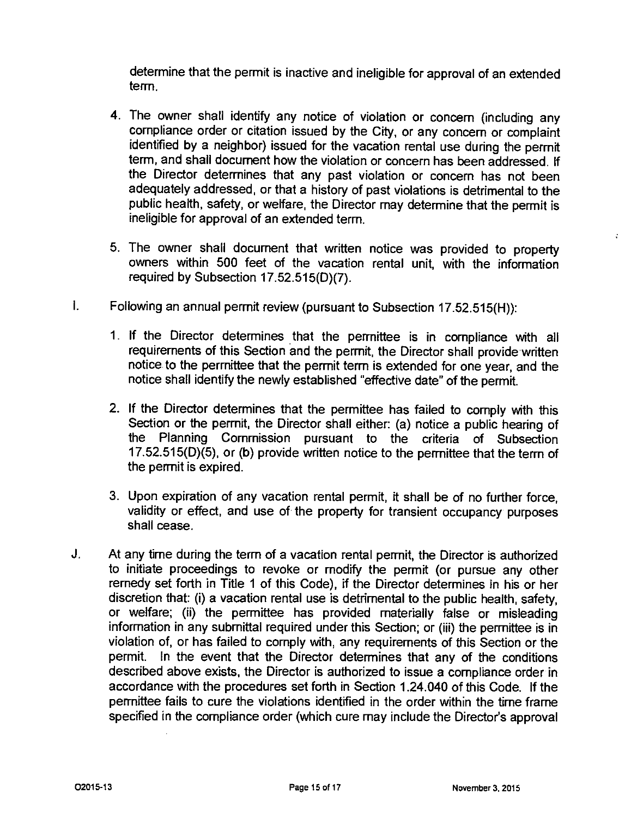determine that the permit is inactive and ineligible for approval of an extended term.

- 4. The owner shall identify any notice of violation or concern (including any compliance order or citation issued by the City, or any concern or complaint identified by a neighbor) issued for the vacation rental use during the permit term, and shall document how the violation or concern has been addressed. If the Director determines that any past violation or concern has not been adequately addressed, or that a history of past violations is detrimental to the public health, safety, or welfare, the Director may determine that the permit is ineligible for approval of an extended term.
- 5. The owner shall document that written notice was provided to property owners within 500 feet of the vacation rental unit, with the information required by Subsection 17.52.515(D)(7).
- $\mathbf{I}$ . Following an annual permit review (pursuant to Subsection 17.52.515(H)):
	- 1. If the Director determines that the permittee is in compliance with all requirements of this Section and the permit, the Director shall provide written notice to the permittee that the permit term is extended for one year, and the notice shall identify the newly established "effective date" of the permit.
	- 2. If the Director determines that the permittee has failed to comply with this Section or the permit, the Director shall either: (a) notice a public hearing of the Planning Commission pursuant to the criteria of Subsection  $17.52.515(D)\overline{(5)}$ , or (b) provide written notice to the permittee that the term of the permit is expired.
	- 3. Upon expiration of any vacation rental permit, it shall be of no further force, validity or effect, and use of the property for transient occupancy purposes shall cease.
- J. At any time during the term of a vacation rental permit, the Director is authorized to initiate proceedings to revoke or modify the permit (or pursue any other remedy set forth in Title 1 of this Code), if the Director determines in his or her discretion that: (i) a vacation rental use is detrimental to the public health, safety, or welfare; (ii) the permittee has provided materially false or misleading information in any submittal required under this Section; or (iii) the permittee is in violation of, or has failed to comply with, any requirements of this Section or the permit. In the event that the Director determines that any of the conditions described above exists, the Director is authorized to issue a compliance order in accordance with the procedures set forth in Section 1.24.040 of this Code. If the permittee fails to cure the violations identified in the order within the time frame specified in the compliance order (which cure may include the Director's approval

÷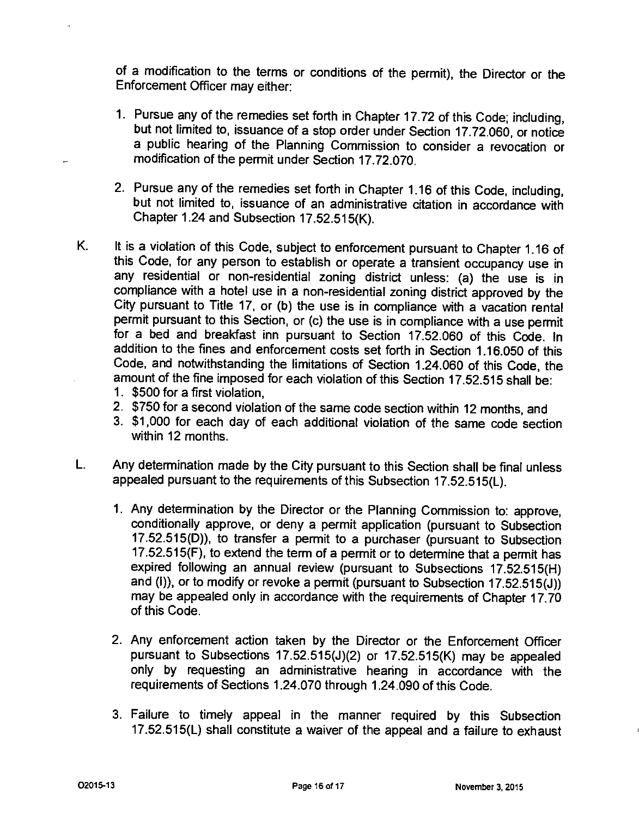of a modification to the terms or conditions of the permit), the Director or the Enforcement Officer may either:

- 1. Pursue any of the remedies set forth in Chapter 17.72 of this Code; including, but not limited to, issuance of a stop order under Section 17.72.060, or notice a public hearing of the Planning Commission to consider a revocation or modification of the permit under Section 17.72.070.
- 2. Pursue any of the remedies set forth in Chapter 1.16 of this Code, including, but not limited to, issuance of an administrative citation in accordance with Chapter 1.24 and Subsection 17.52.515(K).
- K. It is a violation of this Code, subject to enforcement pursuant to Chapter 1.16 of this Code, for any person to establish or operate a transient occupancy use in any residential or non-residential zoning district unless: (a) the use is in compliance with a hotel use in a non-residential zoning district approved by the City pursuant to Title 17, or (b) the use is in compliance with a vacation rental permit pursuant to this Section, or (c) the use is in compliance with a use permit for a bed and breakfast inn pursuant to Section 17.52.060 of this Code. In addition to the fines and enforcement costs set forth in Section 1.16.050 of this Code, and notwithstanding the limitations of Section 1.24.060 of this Code, the amount of the fine imposed for each violation of this Section 17.52.515 shall be:
	- 1. \$500 for a first violation,
	- 2. \$750 for a second violation of the same code section within 12 months, and
	- 3. \$1,000 for each day of each additional violation of the same code section within 12 months.
- L. Any determination made by the City pursuant to this Section shall be final unless appealed pursuant to the requirements of this Subsection 17.52.515(L).
	- 1. Any determination by the Director or the Planning Commission to: approve, conditionally approve, or deny a permit application (pursuant to Subsection 17.52.515(D)), to transfer a permit to a purchaser (pursuant to Subsection 17.52.515(F), to extend the term of a permit or to determine that a permit has expired following an annual review (pursuant to Subsections 17.52.515(H) and (I)), or to modify or revoke a permit (pursuant to Subsection 17.52.515(J)) may be appealed only in accordance with the requirements of Chapter 17.70 of this Code.
	- 2. Any enforcement action taken by the Director or the Enforcement Officer pursuant to Subsections 17.52.515(J)(2) or 17.52.515(K) may be appealed only by requesting an administrative hearing in accordance with the requirements of Sections 1.24.070 through 1.24.090 of this Code.
	- 3. Failure to timely appeal in the manner required by this Subsection 17.52.515(L) shall constitute a waiver of the appeal and a failure to exhaust